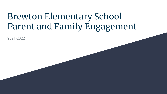# Brewton Elementary School Parent and Family Engagement

2021-2022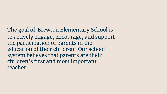The goal of Brewton Elementary School is to actively engage, encourage, and support the participation of parents in the education of their children. Our school system believes that parents are their children's first and most important teacher.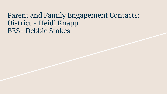### Parent and Family Engagement Contacts: District - Heidi Knapp BES- Debbie Stokes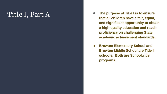- Title I, Part A **and A Consumer A Consumer A Consumer A Consumer A Consumer A Consumer A Consumer A Consumer A Consumer A Consumer A Consumer A Consumer A Consumer A Consumer A Consumer A Co that all children have a fair, equal, and significant opportunity to obtain a high-quality education and reach proficiency on challenging State academic achievement standards.** 
	- **Brewton Elementary School and Brewton Middle School are Title I schools. Both are Schoolwide programs.**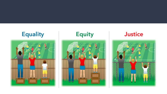



#### **Justice**

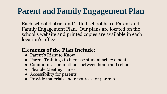## **Parent and Family Engagement Plan**

Each school district and Title I school has a Parent and Family Engagement Plan. Our plans are located on the school's website and printed copies are available in each location's office.

#### **Elements of the Plan Include:**

- Parent's Right to Know
- Parent Trainings to increase student achievement
- Communication methods between home and school
- Flexible Meeting Times
- Accessibility for parents
- Provide materials and resources for parents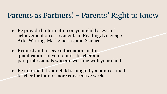## Parents as Partners! - Parents' Right to Know

- Be provided information on your child's level of achievement on assessments in Reading/Language Arts, Writing, Mathematics, and Science
- Request and receive information on the qualifications of your child's teacher and paraprofessionals who are working with your child
- Be informed if your child is taught by a non-certified teacher for four or more consecutive weeks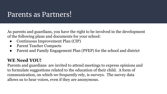### Parents as Partners!

As parents and guardians, you have the right to be involved in the development of the following plans and documents for your school:

- Continuous Improvement Plan (CIP)
- Parent Teacher Compacts
- Parent and Family Engagement Plan (PFEP) for the school and district

#### **WE Need YOU!**

Parents and guardians are invited to attend meetings to express opinions and to formulate suggestions related to the education of their child. A form of communication, on which we frequently rely, is surveys. The survey data allows us to hear voices, even if they are anonymous.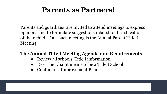### **Parents as Partners!**

Parents and guardians are invited to attend meetings to express opinions and to formulate suggestions related to the education of their child. One such meeting is the Annual Parent Title I Meeting.

#### **The Annual Title I Meeting Agenda and Requirements**

- Review all schools' Title I information
- Describe what it means to be a Title I School
- Continuous Improvement Plan